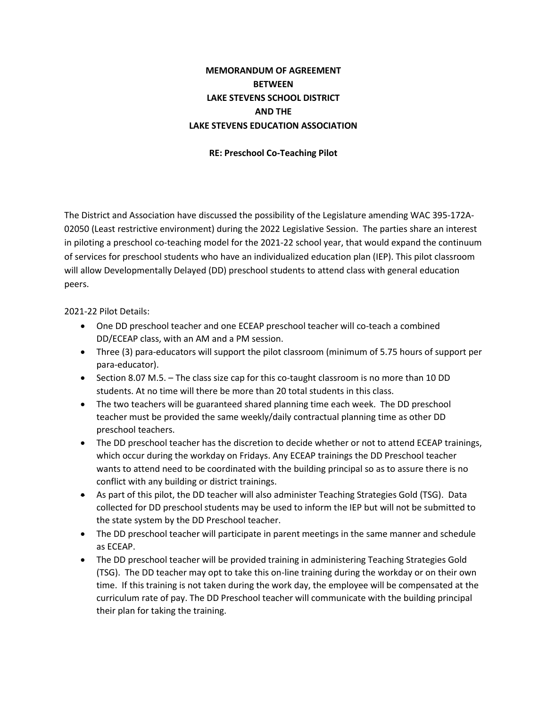## **MEMORANDUM OF AGREEMENT BETWEEN LAKE STEVENS SCHOOL DISTRICT AND THE LAKE STEVENS EDUCATION ASSOCIATION**

## **RE: Preschool Co-Teaching Pilot**

The District and Association have discussed the possibility of the Legislature amending WAC 395-172A-02050 (Least restrictive environment) during the 2022 Legislative Session. The parties share an interest in piloting a preschool co-teaching model for the 2021-22 school year, that would expand the continuum of services for preschool students who have an individualized education plan (IEP). This pilot classroom will allow Developmentally Delayed (DD) preschool students to attend class with general education peers.

2021-22 Pilot Details:

- One DD preschool teacher and one ECEAP preschool teacher will co-teach a combined DD/ECEAP class, with an AM and a PM session.
- Three (3) para-educators will support the pilot classroom (minimum of 5.75 hours of support per para-educator).
- Section 8.07 M.5. The class size cap for this co-taught classroom is no more than 10 DD students. At no time will there be more than 20 total students in this class.
- The two teachers will be guaranteed shared planning time each week. The DD preschool teacher must be provided the same weekly/daily contractual planning time as other DD preschool teachers.
- The DD preschool teacher has the discretion to decide whether or not to attend ECEAP trainings, which occur during the workday on Fridays. Any ECEAP trainings the DD Preschool teacher wants to attend need to be coordinated with the building principal so as to assure there is no conflict with any building or district trainings.
- As part of this pilot, the DD teacher will also administer Teaching Strategies Gold (TSG). Data collected for DD preschool students may be used to inform the IEP but will not be submitted to the state system by the DD Preschool teacher.
- The DD preschool teacher will participate in parent meetings in the same manner and schedule as ECEAP.
- The DD preschool teacher will be provided training in administering Teaching Strategies Gold (TSG). The DD teacher may opt to take this on-line training during the workday or on their own time. If this training is not taken during the work day, the employee will be compensated at the curriculum rate of pay. The DD Preschool teacher will communicate with the building principal their plan for taking the training.